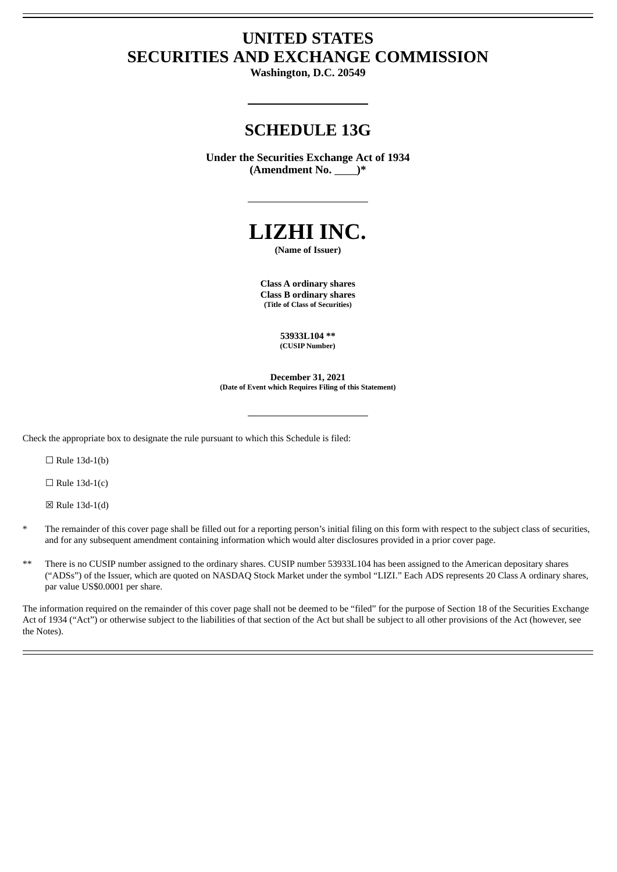# **UNITED STATES SECURITIES AND EXCHANGE COMMISSION**

**Washington, D.C. 20549**

# **SCHEDULE 13G**

**Under the Securities Exchange Act of 1934 (Amendment No. )\***



**(Name of Issuer)**

**Class A ordinary shares Class B ordinary shares (Title of Class of Securities)**

> **53933L104 \*\* (CUSIP Number)**

**December 31, 2021 (Date of Event which Requires Filing of this Statement)**

Check the appropriate box to designate the rule pursuant to which this Schedule is filed:

 $\Box$  Rule 13d-1(b)

 $\Box$  Rule 13d-1(c)

☒ Rule 13d-1(d)

- The remainder of this cover page shall be filled out for a reporting person's initial filing on this form with respect to the subject class of securities, and for any subsequent amendment containing information which would alter disclosures provided in a prior cover page.
- There is no CUSIP number assigned to the ordinary shares. CUSIP number 53933L104 has been assigned to the American depositary shares ("ADSs") of the Issuer, which are quoted on NASDAQ Stock Market under the symbol "LIZI." Each ADS represents 20 Class A ordinary shares, par value US\$0.0001 per share.

The information required on the remainder of this cover page shall not be deemed to be "filed" for the purpose of Section 18 of the Securities Exchange Act of 1934 ("Act") or otherwise subject to the liabilities of that section of the Act but shall be subject to all other provisions of the Act (however, see the Notes).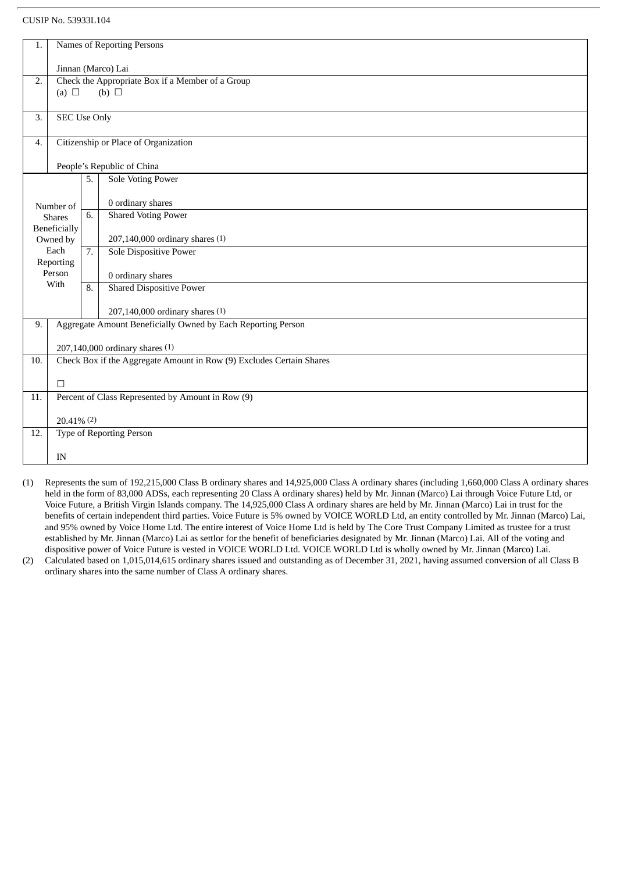## CUSIP No. 53933L104

| 1.                                                     | Names of Reporting Persons                        |                                      |                                                                      |  |  |  |  |  |  |
|--------------------------------------------------------|---------------------------------------------------|--------------------------------------|----------------------------------------------------------------------|--|--|--|--|--|--|
|                                                        | Jinnan (Marco) Lai                                |                                      |                                                                      |  |  |  |  |  |  |
| Check the Appropriate Box if a Member of a Group<br>2. |                                                   |                                      |                                                                      |  |  |  |  |  |  |
|                                                        | (b) $\Box$<br>(a) $\Box$                          |                                      |                                                                      |  |  |  |  |  |  |
| 3.                                                     | <b>SEC Use Only</b>                               |                                      |                                                                      |  |  |  |  |  |  |
| 4.                                                     |                                                   | Citizenship or Place of Organization |                                                                      |  |  |  |  |  |  |
|                                                        |                                                   |                                      | People's Republic of China                                           |  |  |  |  |  |  |
|                                                        |                                                   | 5.                                   | Sole Voting Power                                                    |  |  |  |  |  |  |
|                                                        | Number of                                         |                                      | 0 ordinary shares                                                    |  |  |  |  |  |  |
|                                                        | <b>Shares</b>                                     |                                      | <b>Shared Voting Power</b>                                           |  |  |  |  |  |  |
|                                                        | Beneficially<br>Owned by                          |                                      | 207,140,000 ordinary shares (1)                                      |  |  |  |  |  |  |
|                                                        | Each<br>Reporting                                 |                                      | Sole Dispositive Power                                               |  |  |  |  |  |  |
|                                                        | Person                                            |                                      | 0 ordinary shares                                                    |  |  |  |  |  |  |
|                                                        | With                                              |                                      | Shared Dispositive Power                                             |  |  |  |  |  |  |
|                                                        |                                                   |                                      | 207,140,000 ordinary shares (1)                                      |  |  |  |  |  |  |
| 9.                                                     |                                                   |                                      | Aggregate Amount Beneficially Owned by Each Reporting Person         |  |  |  |  |  |  |
|                                                        |                                                   |                                      | 207,140,000 ordinary shares (1)                                      |  |  |  |  |  |  |
| 10.                                                    |                                                   |                                      | Check Box if the Aggregate Amount in Row (9) Excludes Certain Shares |  |  |  |  |  |  |
|                                                        | $\Box$                                            |                                      |                                                                      |  |  |  |  |  |  |
| 11.                                                    | Percent of Class Represented by Amount in Row (9) |                                      |                                                                      |  |  |  |  |  |  |
|                                                        | $20.41\%$ (2)                                     |                                      |                                                                      |  |  |  |  |  |  |
| 12.                                                    |                                                   |                                      | <b>Type of Reporting Person</b>                                      |  |  |  |  |  |  |
|                                                        | IN                                                |                                      |                                                                      |  |  |  |  |  |  |
|                                                        |                                                   |                                      |                                                                      |  |  |  |  |  |  |

- (1) Represents the sum of 192,215,000 Class B ordinary shares and 14,925,000 Class A ordinary shares (including 1,660,000 Class A ordinary shares held in the form of 83,000 ADSs, each representing 20 Class A ordinary shares) held by Mr. Jinnan (Marco) Lai through Voice Future Ltd, or Voice Future, a British Virgin Islands company. The 14,925,000 Class A ordinary shares are held by Mr. Jinnan (Marco) Lai in trust for the benefits of certain independent third parties. Voice Future is 5% owned by VOICE WORLD Ltd, an entity controlled by Mr. Jinnan (Marco) Lai, and 95% owned by Voice Home Ltd. The entire interest of Voice Home Ltd is held by The Core Trust Company Limited as trustee for a trust established by Mr. Jinnan (Marco) Lai as settlor for the benefit of beneficiaries designated by Mr. Jinnan (Marco) Lai. All of the voting and dispositive power of Voice Future is vested in VOICE WORLD Ltd. VOICE WORLD Ltd is wholly owned by Mr. Jinnan (Marco) Lai.
- (2) Calculated based on 1,015,014,615 ordinary shares issued and outstanding as of December 31, 2021, having assumed conversion of all Class B ordinary shares into the same number of Class A ordinary shares.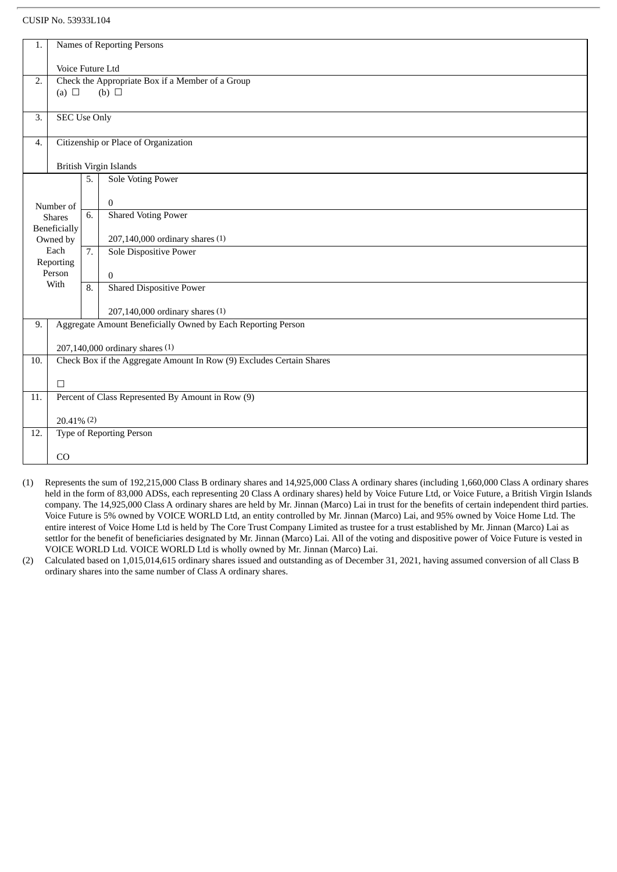## CUSIP No. 53933L104

| 1.                                                   | Names of Reporting Persons                       |    |                                                                                                         |  |  |  |  |  |  |
|------------------------------------------------------|--------------------------------------------------|----|---------------------------------------------------------------------------------------------------------|--|--|--|--|--|--|
|                                                      | Voice Future Ltd                                 |    |                                                                                                         |  |  |  |  |  |  |
| 2.                                                   | Check the Appropriate Box if a Member of a Group |    |                                                                                                         |  |  |  |  |  |  |
| (b) $\Box$<br>(a) $\Box$                             |                                                  |    |                                                                                                         |  |  |  |  |  |  |
|                                                      |                                                  |    |                                                                                                         |  |  |  |  |  |  |
| 3.                                                   | <b>SEC Use Only</b>                              |    |                                                                                                         |  |  |  |  |  |  |
|                                                      |                                                  |    |                                                                                                         |  |  |  |  |  |  |
| 4.                                                   |                                                  |    | Citizenship or Place of Organization                                                                    |  |  |  |  |  |  |
|                                                      | <b>British Virgin Islands</b>                    |    |                                                                                                         |  |  |  |  |  |  |
|                                                      |                                                  | 5. | <b>Sole Voting Power</b>                                                                                |  |  |  |  |  |  |
|                                                      |                                                  |    |                                                                                                         |  |  |  |  |  |  |
|                                                      | Number of                                        |    | $\Omega$                                                                                                |  |  |  |  |  |  |
|                                                      | <b>Shares</b>                                    | 6. | <b>Shared Voting Power</b>                                                                              |  |  |  |  |  |  |
|                                                      | Beneficially<br>Owned by                         |    | 207,140,000 ordinary shares (1)                                                                         |  |  |  |  |  |  |
|                                                      | Each                                             |    | <b>Sole Dispositive Power</b>                                                                           |  |  |  |  |  |  |
|                                                      | Reporting                                        |    |                                                                                                         |  |  |  |  |  |  |
|                                                      | Person<br>With                                   |    | 0                                                                                                       |  |  |  |  |  |  |
|                                                      |                                                  | 8. | <b>Shared Dispositive Power</b>                                                                         |  |  |  |  |  |  |
|                                                      |                                                  |    | 207,140,000 ordinary shares (1)                                                                         |  |  |  |  |  |  |
| 9.                                                   |                                                  |    | Aggregate Amount Beneficially Owned by Each Reporting Person                                            |  |  |  |  |  |  |
|                                                      |                                                  |    |                                                                                                         |  |  |  |  |  |  |
| 10.                                                  |                                                  |    | 207,140,000 ordinary shares (1)<br>Check Box if the Aggregate Amount In Row (9) Excludes Certain Shares |  |  |  |  |  |  |
|                                                      |                                                  |    |                                                                                                         |  |  |  |  |  |  |
|                                                      | $\Box$                                           |    |                                                                                                         |  |  |  |  |  |  |
| 11.                                                  |                                                  |    | Percent of Class Represented By Amount in Row (9)                                                       |  |  |  |  |  |  |
|                                                      |                                                  |    |                                                                                                         |  |  |  |  |  |  |
|                                                      | $20.41\%$ (2)                                    |    |                                                                                                         |  |  |  |  |  |  |
| <b>Type of Reporting Person</b><br>$\overline{12}$ . |                                                  |    |                                                                                                         |  |  |  |  |  |  |
|                                                      | CO                                               |    |                                                                                                         |  |  |  |  |  |  |
|                                                      |                                                  |    |                                                                                                         |  |  |  |  |  |  |

- (1) Represents the sum of 192,215,000 Class B ordinary shares and 14,925,000 Class A ordinary shares (including 1,660,000 Class A ordinary shares held in the form of 83,000 ADSs, each representing 20 Class A ordinary shares) held by Voice Future Ltd, or Voice Future, a British Virgin Islands company. The 14,925,000 Class A ordinary shares are held by Mr. Jinnan (Marco) Lai in trust for the benefits of certain independent third parties. Voice Future is 5% owned by VOICE WORLD Ltd, an entity controlled by Mr. Jinnan (Marco) Lai, and 95% owned by Voice Home Ltd. The entire interest of Voice Home Ltd is held by The Core Trust Company Limited as trustee for a trust established by Mr. Jinnan (Marco) Lai as settlor for the benefit of beneficiaries designated by Mr. Jinnan (Marco) Lai. All of the voting and dispositive power of Voice Future is vested in VOICE WORLD Ltd. VOICE WORLD Ltd is wholly owned by Mr. Jinnan (Marco) Lai.
- (2) Calculated based on 1,015,014,615 ordinary shares issued and outstanding as of December 31, 2021, having assumed conversion of all Class B ordinary shares into the same number of Class A ordinary shares.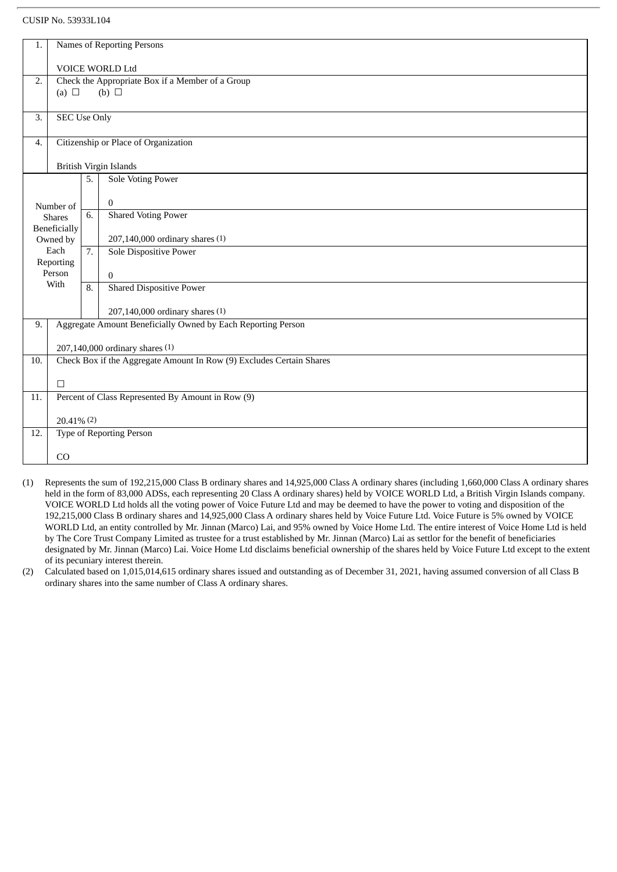## CUSIP No. 53933L104

| 1.                                     | Names of Reporting Persons                                           |                  |                                                              |  |  |  |  |  |
|----------------------------------------|----------------------------------------------------------------------|------------------|--------------------------------------------------------------|--|--|--|--|--|
|                                        | VOICE WORLD Ltd                                                      |                  |                                                              |  |  |  |  |  |
| 2.                                     | Check the Appropriate Box if a Member of a Group                     |                  |                                                              |  |  |  |  |  |
| (b) $\Box$<br>(a) $\Box$               |                                                                      |                  |                                                              |  |  |  |  |  |
| 3.                                     | <b>SEC Use Only</b>                                                  |                  |                                                              |  |  |  |  |  |
|                                        |                                                                      |                  |                                                              |  |  |  |  |  |
| 4.                                     | Citizenship or Place of Organization                                 |                  |                                                              |  |  |  |  |  |
|                                        | British Virgin Islands                                               |                  |                                                              |  |  |  |  |  |
|                                        |                                                                      | 5.               | <b>Sole Voting Power</b>                                     |  |  |  |  |  |
|                                        |                                                                      |                  | $\overline{0}$                                               |  |  |  |  |  |
|                                        | Number of<br><b>Shares</b>                                           |                  | <b>Shared Voting Power</b>                                   |  |  |  |  |  |
|                                        | Beneficially<br>Owned by                                             |                  | 207,140,000 ordinary shares (1)                              |  |  |  |  |  |
|                                        | Each                                                                 | $\overline{7}$ . | <b>Sole Dispositive Power</b>                                |  |  |  |  |  |
|                                        | Reporting                                                            |                  |                                                              |  |  |  |  |  |
|                                        | Person<br>With                                                       |                  | $\overline{0}$                                               |  |  |  |  |  |
|                                        |                                                                      | 8.               | <b>Shared Dispositive Power</b>                              |  |  |  |  |  |
|                                        |                                                                      |                  | 207,140,000 ordinary shares (1)                              |  |  |  |  |  |
| 9.                                     |                                                                      |                  | Aggregate Amount Beneficially Owned by Each Reporting Person |  |  |  |  |  |
|                                        |                                                                      |                  | 207,140,000 ordinary shares (1)                              |  |  |  |  |  |
| 10.                                    | Check Box if the Aggregate Amount In Row (9) Excludes Certain Shares |                  |                                                              |  |  |  |  |  |
|                                        | $\Box$                                                               |                  |                                                              |  |  |  |  |  |
| 11.                                    | Percent of Class Represented By Amount in Row (9)                    |                  |                                                              |  |  |  |  |  |
| $20.41\%$ (2)                          |                                                                      |                  |                                                              |  |  |  |  |  |
| <b>Type of Reporting Person</b><br>12. |                                                                      |                  |                                                              |  |  |  |  |  |
|                                        |                                                                      |                  |                                                              |  |  |  |  |  |
|                                        | CO                                                                   |                  |                                                              |  |  |  |  |  |

- (1) Represents the sum of 192,215,000 Class B ordinary shares and 14,925,000 Class A ordinary shares (including 1,660,000 Class A ordinary shares held in the form of 83,000 ADSs, each representing 20 Class A ordinary shares) held by VOICE WORLD Ltd, a British Virgin Islands company. VOICE WORLD Ltd holds all the voting power of Voice Future Ltd and may be deemed to have the power to voting and disposition of the 192,215,000 Class B ordinary shares and 14,925,000 Class A ordinary shares held by Voice Future Ltd. Voice Future is 5% owned by VOICE WORLD Ltd, an entity controlled by Mr. Jinnan (Marco) Lai, and 95% owned by Voice Home Ltd. The entire interest of Voice Home Ltd is held by The Core Trust Company Limited as trustee for a trust established by Mr. Jinnan (Marco) Lai as settlor for the benefit of beneficiaries designated by Mr. Jinnan (Marco) Lai. Voice Home Ltd disclaims beneficial ownership of the shares held by Voice Future Ltd except to the extent of its pecuniary interest therein.
- (2) Calculated based on 1,015,014,615 ordinary shares issued and outstanding as of December 31, 2021, having assumed conversion of all Class B ordinary shares into the same number of Class A ordinary shares.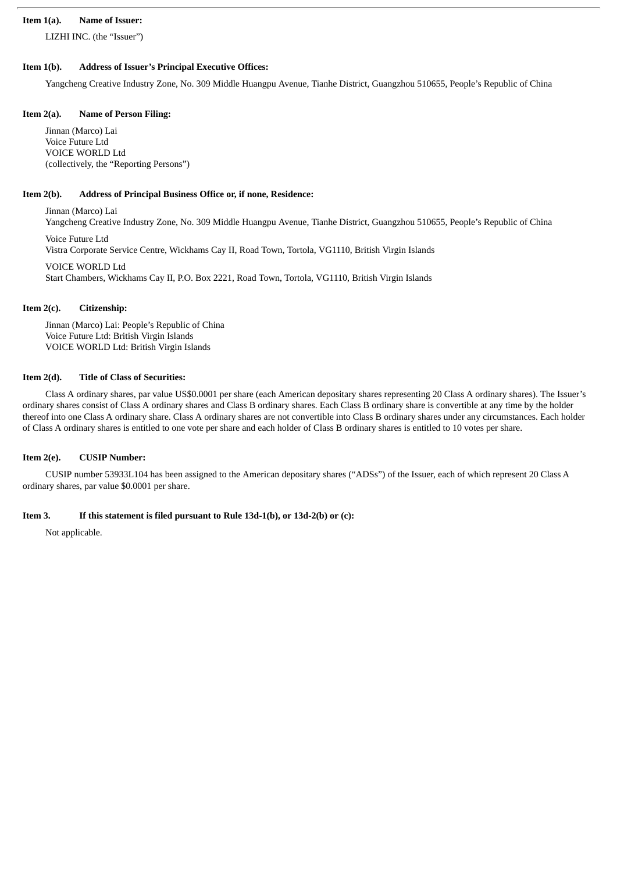## **Item 1(a). Name of Issuer:**

LIZHI INC. (the "Issuer")

# **Item 1(b). Address of Issuer's Principal Executive Offices:**

Yangcheng Creative Industry Zone, No. 309 Middle Huangpu Avenue, Tianhe District, Guangzhou 510655, People's Republic of China

## **Item 2(a). Name of Person Filing:**

Jinnan (Marco) Lai Voice Future Ltd VOICE WORLD Ltd (collectively, the "Reporting Persons")

# **Item 2(b). Address of Principal Business Office or, if none, Residence:**

Jinnan (Marco) Lai Yangcheng Creative Industry Zone, No. 309 Middle Huangpu Avenue, Tianhe District, Guangzhou 510655, People's Republic of China

Voice Future Ltd Vistra Corporate Service Centre, Wickhams Cay II, Road Town, Tortola, VG1110, British Virgin Islands

VOICE WORLD Ltd Start Chambers, Wickhams Cay II, P.O. Box 2221, Road Town, Tortola, VG1110, British Virgin Islands

# **Item 2(c). Citizenship:**

Jinnan (Marco) Lai: People's Republic of China Voice Future Ltd: British Virgin Islands VOICE WORLD Ltd: British Virgin Islands

# **Item 2(d). Title of Class of Securities:**

Class A ordinary shares, par value US\$0.0001 per share (each American depositary shares representing 20 Class A ordinary shares). The Issuer's ordinary shares consist of Class A ordinary shares and Class B ordinary shares. Each Class B ordinary share is convertible at any time by the holder thereof into one Class A ordinary share. Class A ordinary shares are not convertible into Class B ordinary shares under any circumstances. Each holder of Class A ordinary shares is entitled to one vote per share and each holder of Class B ordinary shares is entitled to 10 votes per share.

# **Item 2(e). CUSIP Number:**

CUSIP number 53933L104 has been assigned to the American depositary shares ("ADSs") of the Issuer, each of which represent 20 Class A ordinary shares, par value \$0.0001 per share.

# **Item 3. If this statement is filed pursuant to Rule 13d-1(b), or 13d-2(b) or (c):**

Not applicable.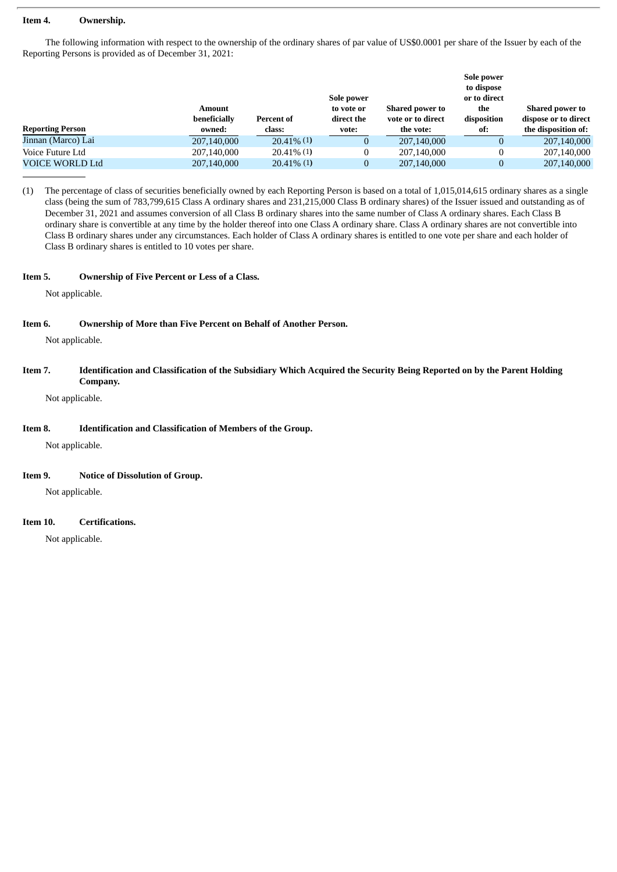#### **Item 4. Ownership.**

The following information with respect to the ownership of the ordinary shares of par value of US\$0.0001 per share of the Issuer by each of the Reporting Persons is provided as of December 31, 2021:

| <b>Reporting Person</b> | <b>Amount</b><br>beneficially | Percent of    | Sole power<br>to vote or<br>direct the | <b>Shared power to</b><br>vote or to direct | Sole power<br>to dispose<br>or to direct<br>the<br>disposition | <b>Shared power to</b><br>dispose or to direct |
|-------------------------|-------------------------------|---------------|----------------------------------------|---------------------------------------------|----------------------------------------------------------------|------------------------------------------------|
|                         | owned:                        | class:        | vote:                                  | the vote:                                   | of:                                                            | the disposition of:                            |
| Jinnan (Marco) Lai      | 207,140,000                   | $20.41\%$ (1) | 0                                      | 207,140,000                                 |                                                                | 207,140,000                                    |
| Voice Future Ltd        | 207,140,000                   | $20.41\%$ (1) | 0                                      | 207,140,000                                 |                                                                | 207,140,000                                    |
| <b>VOICE WORLD Ltd</b>  | 207,140,000                   | $20.41\%$ (1) | 0                                      | 207,140,000                                 |                                                                | 207,140,000                                    |

(1) The percentage of class of securities beneficially owned by each Reporting Person is based on a total of 1,015,014,615 ordinary shares as a single class (being the sum of 783,799,615 Class A ordinary shares and 231,215,000 Class B ordinary shares) of the Issuer issued and outstanding as of December 31, 2021 and assumes conversion of all Class B ordinary shares into the same number of Class A ordinary shares. Each Class B ordinary share is convertible at any time by the holder thereof into one Class A ordinary share. Class A ordinary shares are not convertible into Class B ordinary shares under any circumstances. Each holder of Class A ordinary shares is entitled to one vote per share and each holder of Class B ordinary shares is entitled to 10 votes per share.

#### **Item 5. Ownership of Five Percent or Less of a Class.**

Not applicable.

## **Item 6. Ownership of More than Five Percent on Behalf of Another Person.**

Not applicable.

## Item 7. Identification and Classification of the Subsidiary Which Acquired the Security Being Reported on by the Parent Holding **Company.**

Not applicable.

## **Item 8. Identification and Classification of Members of the Group.**

Not applicable.

## **Item 9. Notice of Dissolution of Group.**

Not applicable.

## **Item 10. Certifications.**

Not applicable.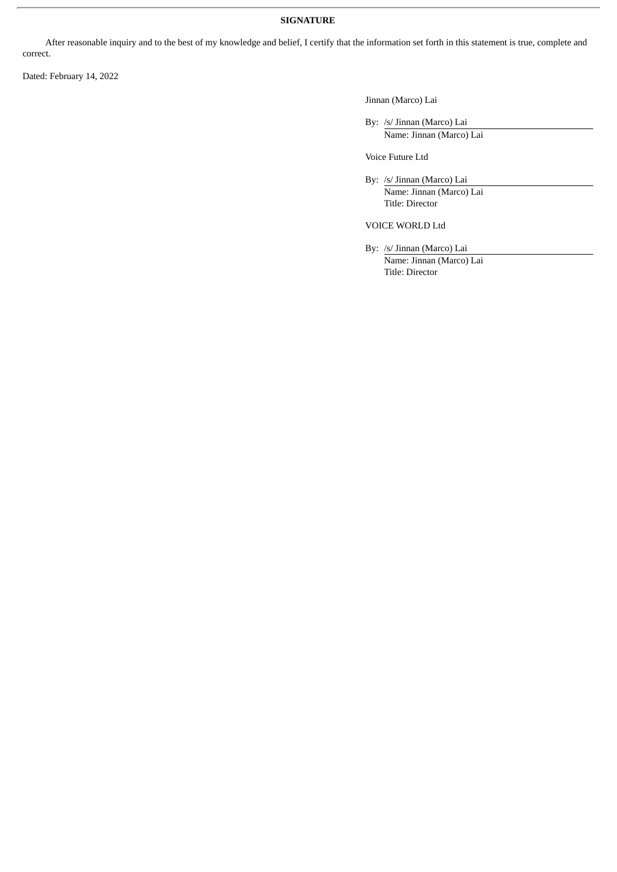## **SIGNATURE**

After reasonable inquiry and to the best of my knowledge and belief, I certify that the information set forth in this statement is true, complete and correct.

Dated: February 14, 2022

Jinnan (Marco) Lai

By: /s/ Jinnan (Marco) Lai Name: Jinnan (Marco) Lai

Voice Future Ltd

By: /s/ Jinnan (Marco) Lai Name: Jinnan (Marco) Lai Title: Director

VOICE WORLD Ltd

By: /s/ Jinnan (Marco) Lai Name: Jinnan (Marco) Lai Title: Director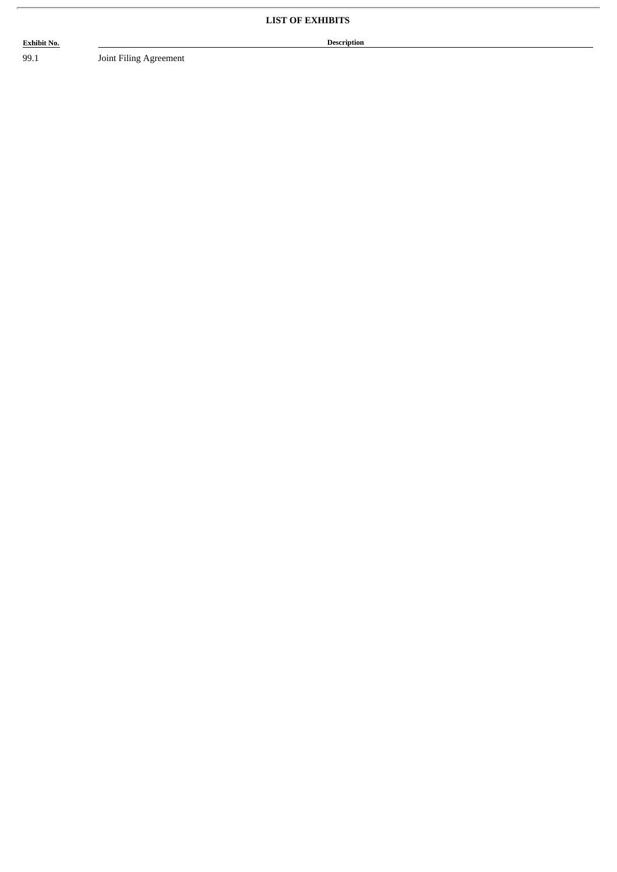**Exhibit No. Description**

99.1 Joint Filing Agreement